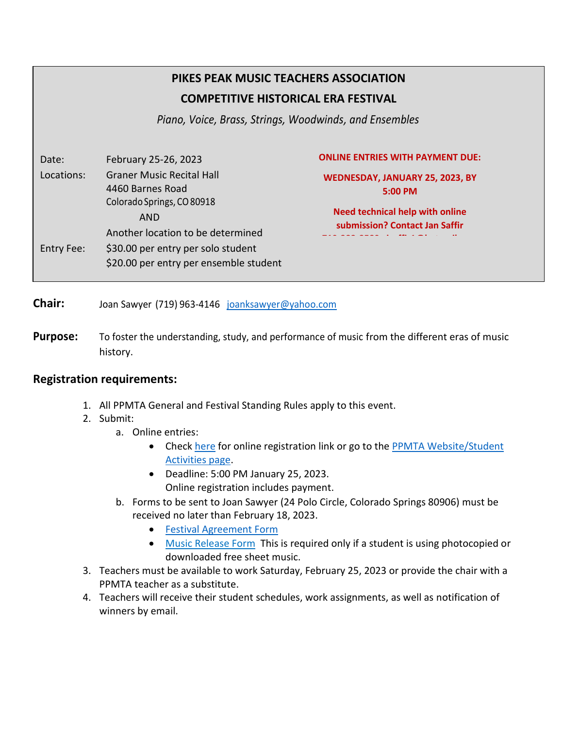# **PIKES PEAK MUSIC TEACHERS ASSOCIATION COMPETITIVE HISTORICAL ERA FESTIVAL**

*Piano, Voice, Brass, Strings, Woodwinds, and Ensembles*

| Date:      | February 25-26, 2023                                                                                              | <b>ONLINE ENTRIES WITH PAYMENT DUE:</b>                                              |  |  |  |
|------------|-------------------------------------------------------------------------------------------------------------------|--------------------------------------------------------------------------------------|--|--|--|
| Locations: | <b>Graner Music Recital Hall</b><br>4460 Barnes Road<br>Colorado Springs, CO 80918<br><b>AND</b>                  | WEDNESDAY, JANUARY 25, 2023, BY<br>5:00 PM<br><b>Need technical help with online</b> |  |  |  |
| Entry Fee: | Another location to be determined<br>\$30.00 per entry per solo student<br>\$20.00 per entry per ensemble student | submission? Contact Jan Saffir                                                       |  |  |  |

**Chair:** Joan Sawyer (719) 963-4146 [joanksawyer@yahoo.com](mailto:joanksawyer@yahoo.com)

Purpose: To foster the understanding, study, and performance of music from the different eras of music history.

### **Registration requirements:**

- 1. All PPMTA General and Festival Standing Rules apply to this event.
- 2. Submit:
	- a. Online entries:
		- Check [here](https://ppmta.tenutoweb.com/) for online registration link or go to the PPMTA Website/Student [Activities page.](https://www.ppmta.org/ppmta-student-activities.html)
		- Deadline: 5:00 PM January 25, 2023. Online registration includes payment.
	- b. Forms to be sent to Joan Sawyer (24 Polo Circle, Colorado Springs 80906) must be received no later than February 18, 2023.
		- [Festival Agreement Form](https://www.ppmta.org/uploads/5/0/7/9/50799455/competitive-festival-agreement-form.pdf)
		- [Music Release Form](http://www.ppmta.org/uploads/5/0/7/9/50799455/music_release_form_ppmta.pdf) This is required only if a student is using photocopied or downloaded free sheet music.
- 3. Teachers must be available to work Saturday, February 25, 2023 or provide the chair with a PPMTA teacher as a substitute.
- 4. Teachers will receive their student schedules, work assignments, as well as notification of winners by email.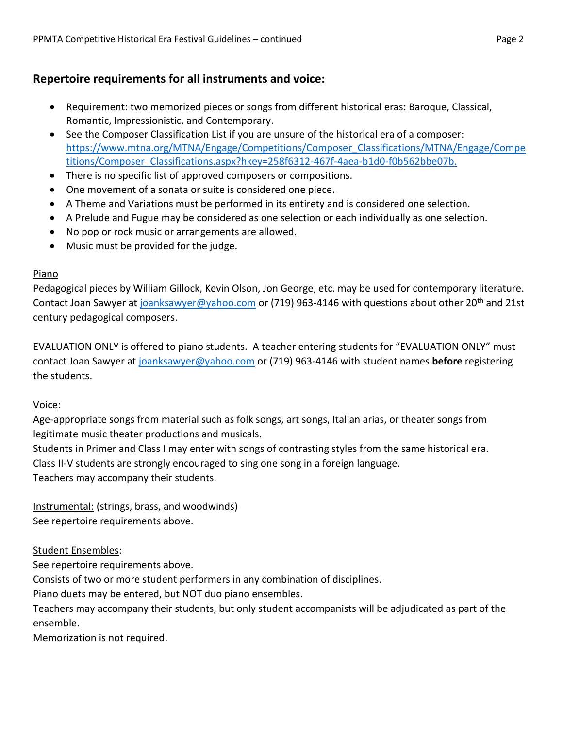## **Repertoire requirements for all instruments and voice:**

- Requirement: two memorized pieces or songs from different historical eras: Baroque, Classical, Romantic, Impressionistic, and Contemporary.
- See the Composer Classification List if you are unsure of the historical era of a composer: [https://www.mtna.org/MTNA/Engage/Competitions/Composer\\_Classifications/MTNA/Engage/Compe](https://www.mtna.org/MTNA/Engage/Competitions/Composer_Classifications/MTNA/Engage/Competitio) [titio](https://www.mtna.org/MTNA/Engage/Competitions/Composer_Classifications/MTNA/Engage/Competitio)[ns/Composer\\_Classifications.aspx?hkey=258f6312-467f-4aea-b1d0-f0b562bbe07b.](https://www.mtna.org/MTNA/Engage/Competitions/Composer_Classifications/MTNA/Engage/Competitions/Composer_Classifications.aspx?hkey=258f6312-467f-4aea-b1d0-f0b562bbe07b)
- There is no specific list of approved composers or compositions.
- One movement of a sonata or suite is considered one piece.
- A Theme and Variations must be performed in its entirety and is considered one selection.
- A Prelude and Fugue may be considered as one selection or each individually as one selection.
- No pop or rock music or arrangements are allowed.
- Music must be provided for the judge.

### Piano

Pedagogical pieces by William Gillock, Kevin Olson, Jon George, etc. may be used for contemporary literature. Contact Joan Sawyer at [joanksawyer@yahoo.com](mailto:joanksawyer@yahoo.com) or (719) 963-4146 with questions about other 20<sup>th</sup> and 21st century pedagogical composers.

EVALUATION ONLY is offered to piano students. A teacher entering students for "EVALUATION ONLY" must contact Joan Sawyer at [joanksawyer@yahoo.com](mailto:joanksawyer@yahoo.com) or (719) 963-4146 with student names **before** registering the students.

### Voice:

Age-appropriate songs from material such as folk songs, art songs, Italian arias, or theater songs from legitimate music theater productions and musicals.

Students in Primer and Class I may enter with songs of contrasting styles from the same historical era. Class II-V students are strongly encouraged to sing one song in a foreign language.

Teachers may accompany their students.

Instrumental: (strings, brass, and woodwinds) See repertoire requirements above.

### Student Ensembles:

See repertoire requirements above.

Consists of two or more student performers in any combination of disciplines.

Piano duets may be entered, but NOT duo piano ensembles.

Teachers may accompany their students, but only student accompanists will be adjudicated as part of the ensemble.

Memorization is not required.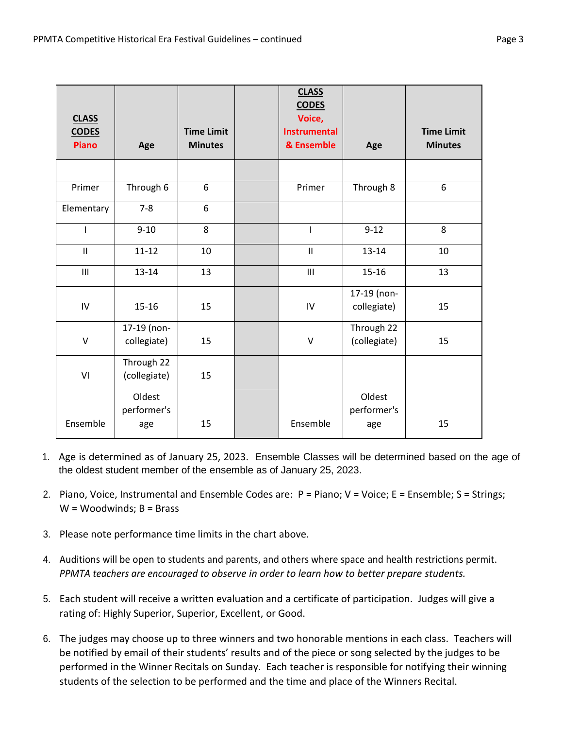| <b>CLASS</b><br><b>CODES</b><br><b>Piano</b> | Age                        | <b>Time Limit</b><br><b>Minutes</b> | <b>CLASS</b><br><b>CODES</b><br>Voice,<br><b>Instrumental</b><br>& Ensemble | Age                        | <b>Time Limit</b><br><b>Minutes</b> |
|----------------------------------------------|----------------------------|-------------------------------------|-----------------------------------------------------------------------------|----------------------------|-------------------------------------|
|                                              |                            |                                     |                                                                             |                            |                                     |
| Primer                                       | Through 6                  | 6                                   | Primer                                                                      | Through 8                  | 6                                   |
| Elementary                                   | $7 - 8$                    | 6                                   |                                                                             |                            |                                     |
|                                              | $9 - 10$                   | 8                                   | T                                                                           | $9 - 12$                   | 8                                   |
| $\mathbf{I}$                                 | $11 - 12$                  | 10                                  | $\mathbf{I}$                                                                | $13 - 14$                  | 10                                  |
| III                                          | $13 - 14$                  | 13                                  | III                                                                         | 15-16                      | 13                                  |
| IV                                           | $15 - 16$                  | 15                                  | IV                                                                          | 17-19 (non-<br>collegiate) | 15                                  |
| V                                            | 17-19 (non-<br>collegiate) | 15                                  | V                                                                           | Through 22<br>(collegiate) | 15                                  |
| VI                                           | Through 22<br>(collegiate) | 15                                  |                                                                             |                            |                                     |
|                                              | Oldest<br>performer's      |                                     |                                                                             | Oldest<br>performer's      |                                     |
| Ensemble                                     | age                        | 15                                  | Ensemble                                                                    | age                        | 15                                  |

- 1. Age is determined as of January 25, 2023. Ensemble Classes will be determined based on the age of the oldest student member of the ensemble as of January 25, 2023.
- 2. Piano, Voice, Instrumental and Ensemble Codes are: P = Piano; V = Voice; E = Ensemble; S = Strings;  $W = Woodwinds; B = Brass$
- 3. Please note performance time limits in the chart above.
- 4. Auditions will be open to students and parents, and others where space and health restrictions permit. *PPMTA teachers are encouraged to observe in order to learn how to better prepare students.*
- 5. Each student will receive a written evaluation and a certificate of participation. Judges will give a rating of: Highly Superior, Superior, Excellent, or Good.
- 6. The judges may choose up to three winners and two honorable mentions in each class. Teachers will be notified by email of their students' results and of the piece or song selected by the judges to be performed in the Winner Recitals on Sunday. Each teacher is responsible for notifying their winning students of the selection to be performed and the time and place of the Winners Recital.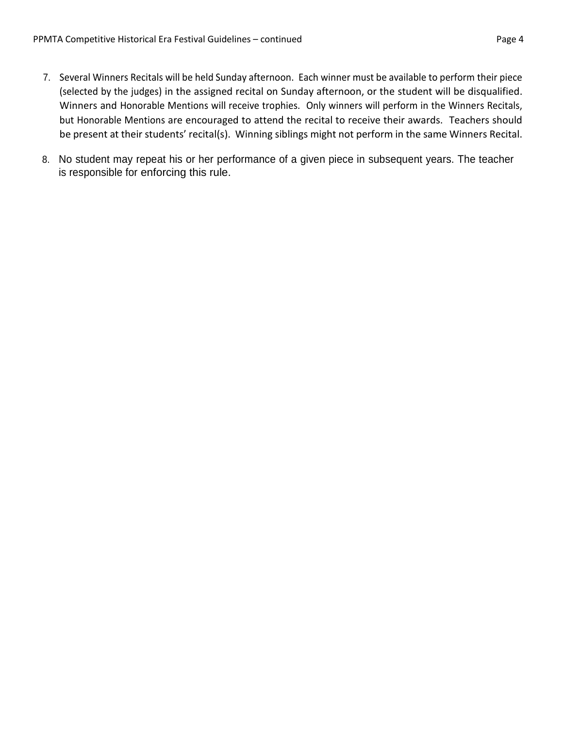- 7. Several Winners Recitals will be held Sunday afternoon. Each winner must be available to perform their piece (selected by the judges) in the assigned recital on Sunday afternoon, or the student will be disqualified. Winners and Honorable Mentions will receive trophies. Only winners will perform in the Winners Recitals, but Honorable Mentions are encouraged to attend the recital to receive their awards. Teachers should be present at their students' recital(s). Winning siblings might not perform in the same Winners Recital.
- 8. No student may repeat his or her performance of a given piece in subsequent years. The teacher is responsible for enforcing this rule.